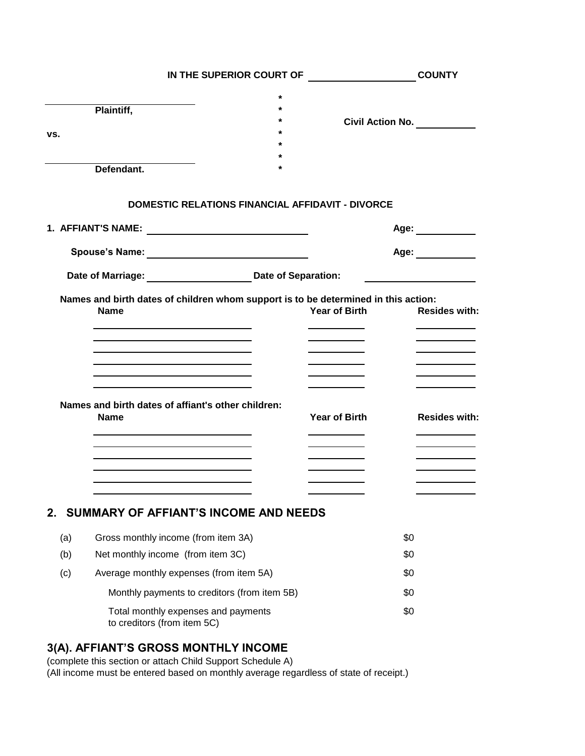|     | IN THE SUPERIOR COURT OF <b>WARFIELD</b>                                                                                                                                                                                      |                                   | <b>COUNTY</b>                     |  |
|-----|-------------------------------------------------------------------------------------------------------------------------------------------------------------------------------------------------------------------------------|-----------------------------------|-----------------------------------|--|
|     |                                                                                                                                                                                                                               | *                                 |                                   |  |
|     | Plaintiff,                                                                                                                                                                                                                    |                                   |                                   |  |
| vs. |                                                                                                                                                                                                                               |                                   | <b>Civil Action No.</b> 6. 2014   |  |
|     |                                                                                                                                                                                                                               |                                   |                                   |  |
|     | Defendant.                                                                                                                                                                                                                    |                                   |                                   |  |
|     |                                                                                                                                                                                                                               |                                   |                                   |  |
|     | <b>DOMESTIC RELATIONS FINANCIAL AFFIDAVIT - DIVORCE</b>                                                                                                                                                                       |                                   |                                   |  |
|     |                                                                                                                                                                                                                               |                                   | Age: ___________                  |  |
|     |                                                                                                                                                                                                                               |                                   | Age: <u>________</u>              |  |
|     | Date of Marriage: Date of Separation:                                                                                                                                                                                         |                                   |                                   |  |
|     | Names and birth dates of children whom support is to be determined in this action:                                                                                                                                            |                                   |                                   |  |
|     | <b>Name</b>                                                                                                                                                                                                                   | Year of Birth                     | <b>Resides with:</b>              |  |
|     |                                                                                                                                                                                                                               |                                   |                                   |  |
|     |                                                                                                                                                                                                                               |                                   |                                   |  |
|     |                                                                                                                                                                                                                               |                                   |                                   |  |
|     |                                                                                                                                                                                                                               |                                   |                                   |  |
|     | Names and birth dates of affiant's other children:<br><b>Name</b>                                                                                                                                                             | Year of Birth                     | <b>Resides with:</b>              |  |
|     | the control of the control of the control of the control of the control of the control of the control of the control of the control of the control of the control of the control of the control of the control of the control | and the control of the control of | and the control of the control of |  |
|     |                                                                                                                                                                                                                               |                                   | and the control of the control of |  |
|     |                                                                                                                                                                                                                               |                                   |                                   |  |
|     |                                                                                                                                                                                                                               |                                   |                                   |  |
| 2.  | <b>SUMMARY OF AFFIANT'S INCOME AND NEEDS</b>                                                                                                                                                                                  |                                   |                                   |  |
| (a) | Gross monthly income (from item 3A)                                                                                                                                                                                           |                                   | \$0                               |  |
| (b) | Net monthly income (from item 3C)                                                                                                                                                                                             |                                   | \$0                               |  |
| (c) | Average monthly expenses (from item 5A)                                                                                                                                                                                       |                                   | \$0                               |  |
|     | Monthly payments to creditors (from item 5B)                                                                                                                                                                                  |                                   | \$0                               |  |
|     | Total monthly expenses and payments<br>to creditors (from item 5C)                                                                                                                                                            |                                   | \$0                               |  |

#### **3(A). AFFIANT'S GROSS MONTHLY INCOME**

(complete this section or attach Child Support Schedule A) (All income must be entered based on monthly average regardless of state of receipt.)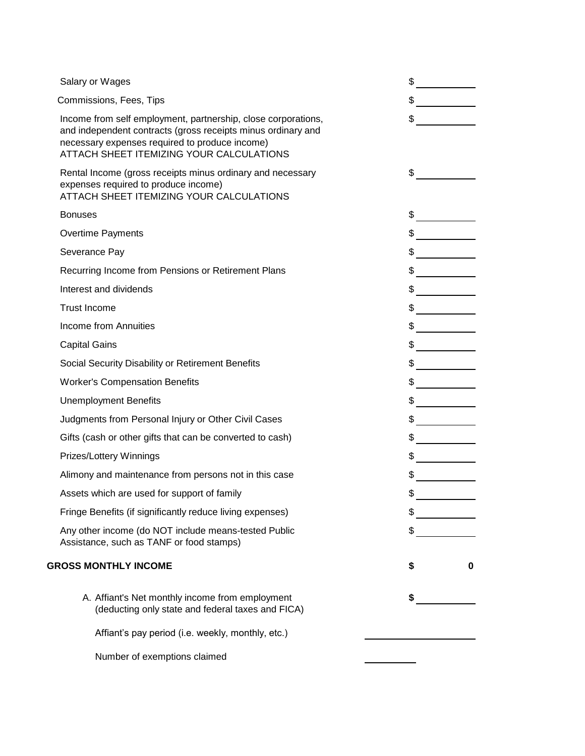| Salary or Wages                                                                                                                                                                                                             | \$                                                                                                                                                                                                                                                                                                                                                                                                                              |   |
|-----------------------------------------------------------------------------------------------------------------------------------------------------------------------------------------------------------------------------|---------------------------------------------------------------------------------------------------------------------------------------------------------------------------------------------------------------------------------------------------------------------------------------------------------------------------------------------------------------------------------------------------------------------------------|---|
| Commissions, Fees, Tips                                                                                                                                                                                                     | $\frac{1}{2}$                                                                                                                                                                                                                                                                                                                                                                                                                   |   |
| Income from self employment, partnership, close corporations,<br>and independent contracts (gross receipts minus ordinary and<br>necessary expenses required to produce income)<br>ATTACH SHEET ITEMIZING YOUR CALCULATIONS | $\frac{1}{\sqrt{2}}$                                                                                                                                                                                                                                                                                                                                                                                                            |   |
| Rental Income (gross receipts minus ordinary and necessary<br>expenses required to produce income)<br>ATTACH SHEET ITEMIZING YOUR CALCULATIONS                                                                              | $\sim$                                                                                                                                                                                                                                                                                                                                                                                                                          |   |
| <b>Bonuses</b>                                                                                                                                                                                                              |                                                                                                                                                                                                                                                                                                                                                                                                                                 |   |
| <b>Overtime Payments</b>                                                                                                                                                                                                    | $\frac{1}{2}$                                                                                                                                                                                                                                                                                                                                                                                                                   |   |
| Severance Pay                                                                                                                                                                                                               | $\frac{1}{2}$                                                                                                                                                                                                                                                                                                                                                                                                                   |   |
| Recurring Income from Pensions or Retirement Plans                                                                                                                                                                          | $\frac{1}{2}$                                                                                                                                                                                                                                                                                                                                                                                                                   |   |
| Interest and dividends                                                                                                                                                                                                      |                                                                                                                                                                                                                                                                                                                                                                                                                                 |   |
| <b>Trust Income</b>                                                                                                                                                                                                         | $\frac{1}{\sqrt{2}}$                                                                                                                                                                                                                                                                                                                                                                                                            |   |
| <b>Income from Annuities</b>                                                                                                                                                                                                |                                                                                                                                                                                                                                                                                                                                                                                                                                 |   |
| <b>Capital Gains</b>                                                                                                                                                                                                        | $\frac{1}{\sqrt{1-\frac{1}{2}}\sqrt{1-\frac{1}{2}}\sqrt{1-\frac{1}{2}}\sqrt{1-\frac{1}{2}}\sqrt{1-\frac{1}{2}}\sqrt{1-\frac{1}{2}}\sqrt{1-\frac{1}{2}}\sqrt{1-\frac{1}{2}}\sqrt{1-\frac{1}{2}}\sqrt{1-\frac{1}{2}}\sqrt{1-\frac{1}{2}}\sqrt{1-\frac{1}{2}}\sqrt{1-\frac{1}{2}}\sqrt{1-\frac{1}{2}}\sqrt{1-\frac{1}{2}}\sqrt{1-\frac{1}{2}}\sqrt{1-\frac{1}{2}}\sqrt{1-\frac{1}{2}}\sqrt{1-\frac{1}{2}}\sqrt{1-\frac$            |   |
| Social Security Disability or Retirement Benefits                                                                                                                                                                           | $\frac{1}{2}$                                                                                                                                                                                                                                                                                                                                                                                                                   |   |
| <b>Worker's Compensation Benefits</b>                                                                                                                                                                                       |                                                                                                                                                                                                                                                                                                                                                                                                                                 |   |
| <b>Unemployment Benefits</b>                                                                                                                                                                                                | $\frac{1}{2}$                                                                                                                                                                                                                                                                                                                                                                                                                   |   |
| Judgments from Personal Injury or Other Civil Cases                                                                                                                                                                         | $\frac{1}{2}$                                                                                                                                                                                                                                                                                                                                                                                                                   |   |
| Gifts (cash or other gifts that can be converted to cash)                                                                                                                                                                   |                                                                                                                                                                                                                                                                                                                                                                                                                                 |   |
| Prizes/Lottery Winnings                                                                                                                                                                                                     | $\frac{1}{2}$                                                                                                                                                                                                                                                                                                                                                                                                                   |   |
| Alimony and maintenance from persons not in this case                                                                                                                                                                       | $\frac{1}{2}$                                                                                                                                                                                                                                                                                                                                                                                                                   |   |
| Assets which are used for support of family                                                                                                                                                                                 | $\frac{1}{\sqrt{1-\frac{1}{2}}}\frac{1}{\sqrt{1-\frac{1}{2}}}\frac{1}{\sqrt{1-\frac{1}{2}}}\frac{1}{\sqrt{1-\frac{1}{2}}}\frac{1}{\sqrt{1-\frac{1}{2}}}\frac{1}{\sqrt{1-\frac{1}{2}}}\frac{1}{\sqrt{1-\frac{1}{2}}}\frac{1}{\sqrt{1-\frac{1}{2}}}\frac{1}{\sqrt{1-\frac{1}{2}}}\frac{1}{\sqrt{1-\frac{1}{2}}}\frac{1}{\sqrt{1-\frac{1}{2}}}\frac{1}{\sqrt{1-\frac{1}{2}}}\frac{1}{\sqrt{1-\frac{1}{2}}}\frac{1}{\sqrt{1-\frac{$ |   |
| Fringe Benefits (if significantly reduce living expenses)                                                                                                                                                                   |                                                                                                                                                                                                                                                                                                                                                                                                                                 |   |
| Any other income (do NOT include means-tested Public<br>Assistance, such as TANF or food stamps)                                                                                                                            |                                                                                                                                                                                                                                                                                                                                                                                                                                 |   |
| <b>GROSS MONTHLY INCOME</b>                                                                                                                                                                                                 | S                                                                                                                                                                                                                                                                                                                                                                                                                               | 0 |
| A. Affiant's Net monthly income from employment<br>(deducting only state and federal taxes and FICA)                                                                                                                        |                                                                                                                                                                                                                                                                                                                                                                                                                                 |   |
| Affiant's pay period (i.e. weekly, monthly, etc.)                                                                                                                                                                           |                                                                                                                                                                                                                                                                                                                                                                                                                                 |   |
| Number of exemptions claimed                                                                                                                                                                                                |                                                                                                                                                                                                                                                                                                                                                                                                                                 |   |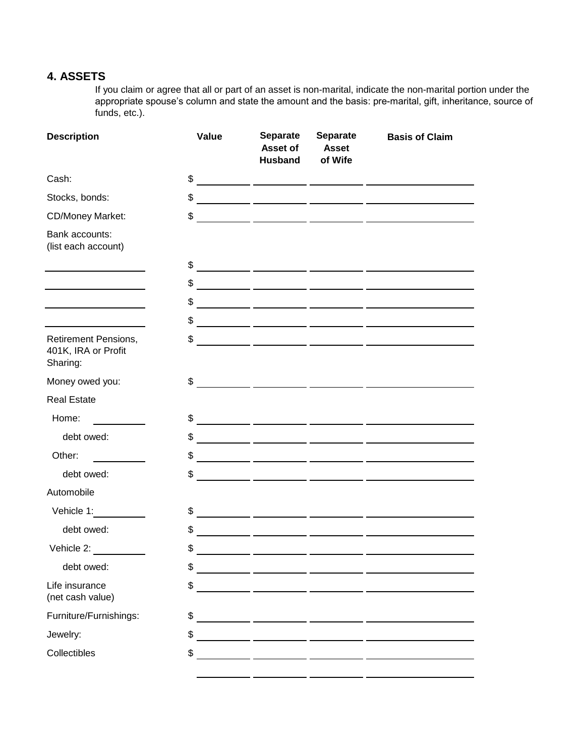### **4. ASSETS**

If you claim or agree that all or part of an asset is non-marital, indicate the non-marital portion under the appropriate spouse's column and state the amount and the basis: pre-marital, gift, inheritance, source of funds, etc.).

| <b>Description</b>                                             | Value | <b>Separate</b><br>Asset of<br><b>Husband</b> | <b>Separate</b><br><b>Asset</b><br>of Wife | <b>Basis of Claim</b>                                                                                                                                                                                                                                                                                               |
|----------------------------------------------------------------|-------|-----------------------------------------------|--------------------------------------------|---------------------------------------------------------------------------------------------------------------------------------------------------------------------------------------------------------------------------------------------------------------------------------------------------------------------|
| Cash:                                                          |       |                                               |                                            | $\frac{1}{2}$ $\frac{1}{2}$ $\frac{1}{2}$ $\frac{1}{2}$ $\frac{1}{2}$ $\frac{1}{2}$ $\frac{1}{2}$ $\frac{1}{2}$ $\frac{1}{2}$ $\frac{1}{2}$ $\frac{1}{2}$ $\frac{1}{2}$ $\frac{1}{2}$ $\frac{1}{2}$ $\frac{1}{2}$ $\frac{1}{2}$ $\frac{1}{2}$ $\frac{1}{2}$ $\frac{1}{2}$ $\frac{1}{2}$ $\frac{1}{2}$ $\frac{1}{2}$ |
| Stocks, bonds:                                                 | \$    |                                               |                                            |                                                                                                                                                                                                                                                                                                                     |
| <b>CD/Money Market:</b>                                        | \$    |                                               |                                            |                                                                                                                                                                                                                                                                                                                     |
| Bank accounts:<br>(list each account)                          |       |                                               |                                            |                                                                                                                                                                                                                                                                                                                     |
|                                                                |       |                                               |                                            | $\frac{1}{2}$ $\frac{1}{2}$ $\frac{1}{2}$ $\frac{1}{2}$ $\frac{1}{2}$ $\frac{1}{2}$ $\frac{1}{2}$ $\frac{1}{2}$ $\frac{1}{2}$ $\frac{1}{2}$ $\frac{1}{2}$ $\frac{1}{2}$ $\frac{1}{2}$ $\frac{1}{2}$ $\frac{1}{2}$ $\frac{1}{2}$ $\frac{1}{2}$ $\frac{1}{2}$ $\frac{1}{2}$ $\frac{1}{2}$ $\frac{1}{2}$ $\frac{1}{2}$ |
|                                                                | \$    |                                               |                                            |                                                                                                                                                                                                                                                                                                                     |
|                                                                | \$    |                                               |                                            |                                                                                                                                                                                                                                                                                                                     |
|                                                                |       |                                               |                                            | $\frac{1}{2}$ $\frac{1}{2}$ $\frac{1}{2}$ $\frac{1}{2}$ $\frac{1}{2}$ $\frac{1}{2}$ $\frac{1}{2}$ $\frac{1}{2}$ $\frac{1}{2}$ $\frac{1}{2}$ $\frac{1}{2}$ $\frac{1}{2}$ $\frac{1}{2}$ $\frac{1}{2}$ $\frac{1}{2}$ $\frac{1}{2}$ $\frac{1}{2}$ $\frac{1}{2}$ $\frac{1}{2}$ $\frac{1}{2}$ $\frac{1}{2}$ $\frac{1}{2}$ |
| <b>Retirement Pensions,</b><br>401K, IRA or Profit<br>Sharing: | \$    |                                               |                                            |                                                                                                                                                                                                                                                                                                                     |
| Money owed you:                                                | \$    |                                               |                                            |                                                                                                                                                                                                                                                                                                                     |
| <b>Real Estate</b>                                             |       |                                               |                                            |                                                                                                                                                                                                                                                                                                                     |
| Home:                                                          |       |                                               |                                            | $\frac{1}{2}$ $\frac{1}{2}$ $\frac{1}{2}$ $\frac{1}{2}$ $\frac{1}{2}$ $\frac{1}{2}$ $\frac{1}{2}$ $\frac{1}{2}$ $\frac{1}{2}$ $\frac{1}{2}$ $\frac{1}{2}$ $\frac{1}{2}$ $\frac{1}{2}$ $\frac{1}{2}$ $\frac{1}{2}$ $\frac{1}{2}$ $\frac{1}{2}$ $\frac{1}{2}$ $\frac{1}{2}$ $\frac{1}{2}$ $\frac{1}{2}$ $\frac{1}{2}$ |
| debt owed:                                                     |       |                                               |                                            | $\frac{1}{2}$ $\frac{1}{2}$ $\frac{1}{2}$ $\frac{1}{2}$ $\frac{1}{2}$ $\frac{1}{2}$ $\frac{1}{2}$ $\frac{1}{2}$ $\frac{1}{2}$ $\frac{1}{2}$ $\frac{1}{2}$ $\frac{1}{2}$ $\frac{1}{2}$ $\frac{1}{2}$ $\frac{1}{2}$ $\frac{1}{2}$ $\frac{1}{2}$ $\frac{1}{2}$ $\frac{1}{2}$ $\frac{1}{2}$ $\frac{1}{2}$ $\frac{1}{2}$ |
| Other:                                                         |       |                                               |                                            | $\frac{1}{2}$ $\frac{1}{2}$ $\frac{1}{2}$ $\frac{1}{2}$ $\frac{1}{2}$ $\frac{1}{2}$ $\frac{1}{2}$ $\frac{1}{2}$ $\frac{1}{2}$ $\frac{1}{2}$ $\frac{1}{2}$ $\frac{1}{2}$ $\frac{1}{2}$ $\frac{1}{2}$ $\frac{1}{2}$ $\frac{1}{2}$ $\frac{1}{2}$ $\frac{1}{2}$ $\frac{1}{2}$ $\frac{1}{2}$ $\frac{1}{2}$ $\frac{1}{2}$ |
| debt owed:                                                     | \$    |                                               |                                            | <u> 1989 - Johann Harry Harry Harry Harry Harry Harry Harry Harry Harry Harry Harry Harry Harry Harry Harry Harry</u>                                                                                                                                                                                               |
| Automobile                                                     |       |                                               |                                            |                                                                                                                                                                                                                                                                                                                     |
| Vehicle 1:                                                     | \$    |                                               |                                            |                                                                                                                                                                                                                                                                                                                     |
| debt owed:                                                     | \$    |                                               |                                            | <u> 1989 - Johann Johann Johann Johann Johann Johann Johann Johann Johann Johann Johann Johann Johann Johann Joh</u>                                                                                                                                                                                                |
| Vehicle 2:                                                     | \$    |                                               |                                            |                                                                                                                                                                                                                                                                                                                     |
| debt owed:                                                     | \$    | <u> 1980 - Andrea Andrew Maria (h. 1980).</u> |                                            |                                                                                                                                                                                                                                                                                                                     |
| Life insurance<br>(net cash value)                             | \$    |                                               |                                            |                                                                                                                                                                                                                                                                                                                     |
| Furniture/Furnishings:                                         | \$    |                                               |                                            | <u> 2002 - Jan Barristo, presidente por estas en la provincia de la provincia de la provincia de la provincia de</u>                                                                                                                                                                                                |
| Jewelry:                                                       | \$    |                                               |                                            |                                                                                                                                                                                                                                                                                                                     |
| Collectibles                                                   | \$    |                                               |                                            |                                                                                                                                                                                                                                                                                                                     |
|                                                                |       |                                               |                                            |                                                                                                                                                                                                                                                                                                                     |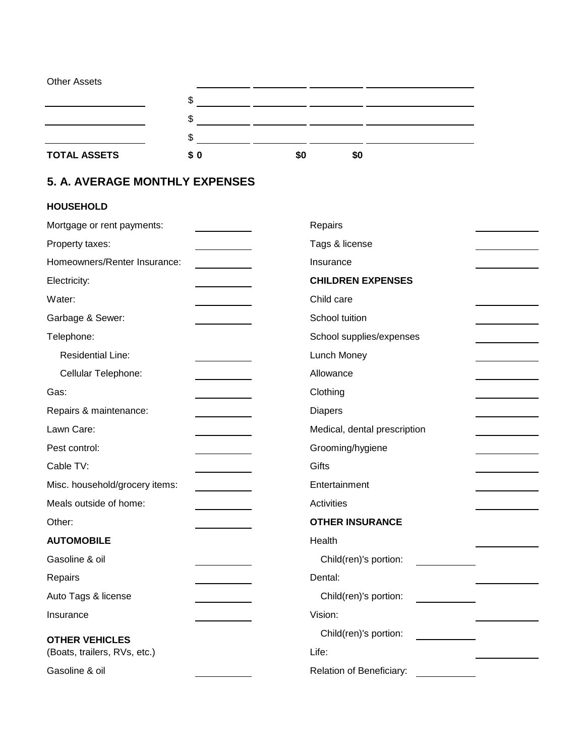| <b>Other Assets</b> |     |     |           |  |
|---------------------|-----|-----|-----------|--|
|                     | ۰D  |     |           |  |
|                     | æ   |     |           |  |
|                     |     |     |           |  |
| <b>TOTAL ASSETS</b> | \$0 | \$0 | <b>SO</b> |  |

# **5. A. AVERAGE MONTHLY EXPENSES**

### **HOUSEHOLD**

| Mortgage or rent payments:     | Repairs                      |
|--------------------------------|------------------------------|
| Property taxes:                | Tags & license               |
| Homeowners/Renter Insurance:   | Insurance                    |
| Electricity:                   | <b>CHILDREN EXPENSES</b>     |
| Water:                         | Child care                   |
| Garbage & Sewer:               | School tuition               |
| Telephone:                     | School supplies/expenses     |
| <b>Residential Line:</b>       | Lunch Money                  |
| Cellular Telephone:            | Allowance                    |
| Gas:                           | Clothing                     |
| Repairs & maintenance:         | <b>Diapers</b>               |
| Lawn Care:                     | Medical, dental prescription |
| Pest control:                  | Grooming/hygiene             |
| Cable TV:                      | Gifts                        |
| Misc. household/grocery items: | Entertainment                |
| Meals outside of home:         | <b>Activities</b>            |
| Other:                         | <b>OTHER INSURANCE</b>       |
| <b>AUTOMOBILE</b>              | Health                       |
| Gasoline & oil                 | Child(ren)'s portion:        |
| Repairs                        | Dental:                      |
| Auto Tags & license            | Child(ren)'s portion:        |
| Insurance                      | Vision:                      |
| <b>OTHER VEHICLES</b>          | Child(ren)'s portion:        |
| (Boats, trailers, RVs, etc.)   | Life:                        |
| Gasoline & oil                 | Relation of Beneficiary:     |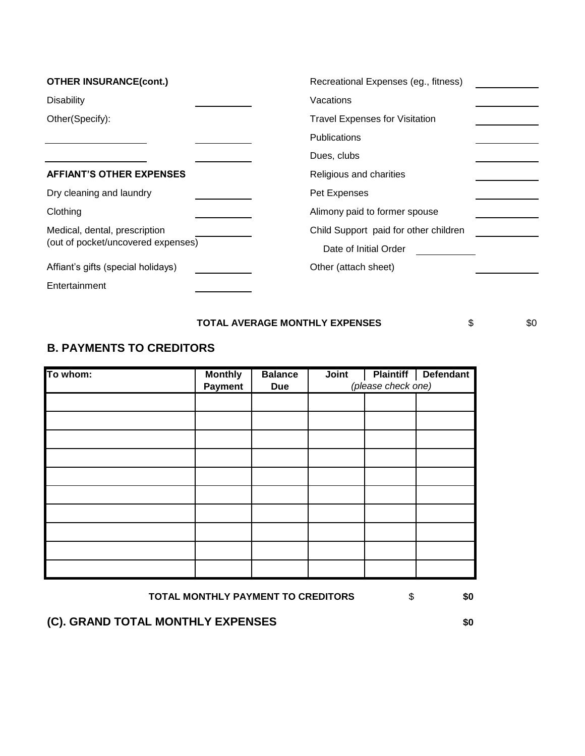| <b>OTHER INSURANCE(cont.)</b>      | Recreational Expenses (eg., fitness)  |
|------------------------------------|---------------------------------------|
| <b>Disability</b>                  | Vacations                             |
| Other(Specify):                    | <b>Travel Expenses for Visitation</b> |
|                                    | <b>Publications</b>                   |
|                                    | Dues, clubs                           |
| <b>AFFIANT'S OTHER EXPENSES</b>    | Religious and charities               |
| Dry cleaning and laundry           | Pet Expenses                          |
| Clothing                           | Alimony paid to former spouse         |
| Medical, dental, prescription      | Child Support paid for other children |
| (out of pocket/uncovered expenses) | Date of Initial Order                 |
| Affiant's gifts (special holidays) | Other (attach sheet)                  |
| Entertainment                      |                                       |

#### **TOTAL AVERAGE MONTHLY EXPENSES**  $\qquad \qquad$  \$0

### **B. PAYMENTS TO CREDITORS**

| To whom: | <b>Monthly</b><br><b>Payment</b> | <b>Balance</b><br><b>Due</b> | Joint | (please check one) | <b>Plaintiff</b> Defendant |
|----------|----------------------------------|------------------------------|-------|--------------------|----------------------------|
|          |                                  |                              |       |                    |                            |
|          |                                  |                              |       |                    |                            |
|          |                                  |                              |       |                    |                            |
|          |                                  |                              |       |                    |                            |
|          |                                  |                              |       |                    |                            |
|          |                                  |                              |       |                    |                            |
|          |                                  |                              |       |                    |                            |
|          |                                  |                              |       |                    |                            |
|          |                                  |                              |       |                    |                            |
|          |                                  |                              |       |                    |                            |

#### **TOTAL MONTHLY PAYMENT TO CREDITORS**  $\qquad$  \$0

## **(C). GRAND TOTAL MONTHLY EXPENSES \$0**